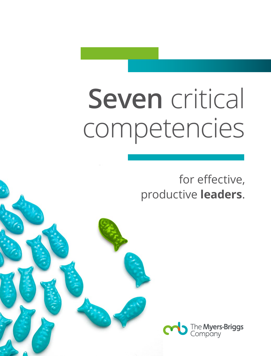## **Seven** critical competencies

for effective, productive **leaders**.

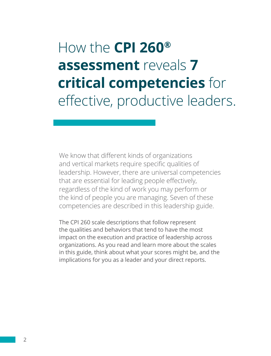#### How the **CPI 260® assessment** reveals **7 critical competencies** for effective, productive leaders.

We know that different kinds of organizations and vertical markets require specific qualities of leadership. However, there are universal competencies that are essential for leading people effectively, regardless of the kind of work you may perform or the kind of people you are managing. Seven of these competencies are described in this leadership guide.

The CPI 260 scale descriptions that follow represent the qualities and behaviors that tend to have the most impact on the execution and practice of leadership across organizations. As you read and learn more about the scales in this guide, think about what your scores might be, and the implications for you as a leader and your direct reports.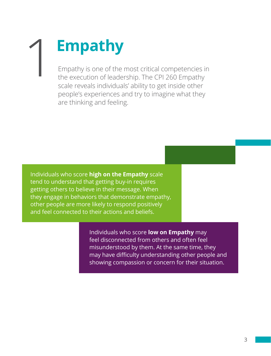# **Empathy**

Empathy is one of the most critical competencies in the execution of leadership. The CPI 260 Empathy scale reveals individuals' ability to get inside other people's experiences and try to imagine what they are thinking and feeling.

Individuals who score **high on the Empathy** scale tend to understand that getting buy-in requires getting others to believe in their message. When they engage in behaviors that demonstrate empathy, other people are more likely to respond positively and feel connected to their actions and beliefs.

> Individuals who score **low on Empathy** may feel disconnected from others and often feel misunderstood by them. At the same time, they may have difficulty understanding other people and showing compassion or concern for their situation.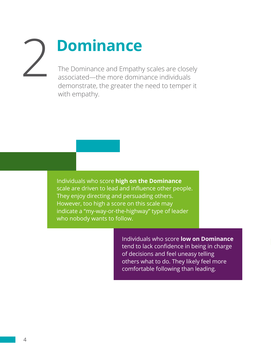### The Dominance and Empathy scales are closely **Dominance**

associated—the more dominance individuals demonstrate, the greater the need to temper it with empathy.

Individuals who score **high on the Dominance** scale are driven to lead and influence other people. They enjoy directing and persuading others. However, too high a score on this scale may indicate a "my-way-or-the-highway" type of leader who nobody wants to follow.

> Individuals who score **low on Dominance** tend to lack confidence in being in charge of decisions and feel uneasy telling others what to do. They likely feel more comfortable following than leading.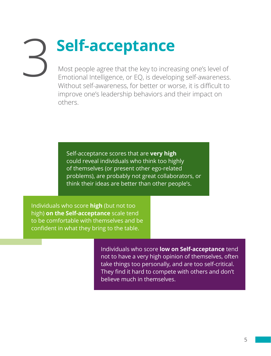### Most people agree that the key to increasing one's level of **Self-acceptance**

Emotional Intelligence, or EQ, is developing self-awareness. Without self-awareness, for better or worse, it is difficult to improve one's leadership behaviors and their impact on others.

Self-acceptance scores that are **very high** could reveal individuals who think too highly of themselves (or present other ego-related problems), are probably not great collaborators, or think their ideas are better than other people's.

Individuals who score **high** (but not too high) **on the Self-acceptance** scale tend to be comfortable with themselves and be confident in what they bring to the table.

> Individuals who score **low on Self-acceptance** tend not to have a very high opinion of themselves, often take things too personally, and are too self-critical. They find it hard to compete with others and don't believe much in themselves.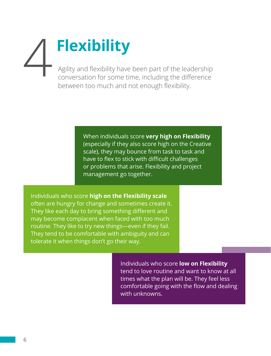# **Flexibility** 4

Agility and flexibility have been part of the leadership conversation for some time, including the difference between too much and not enough flexibility.

> When individuals score **very high on Flexibility** (especially if they also score high on the Creative scale), they may bounce from task to task and have to flex to stick with difficult challenges or problems that arise. Flexibility and project management go together.

Individuals who score **high on the Flexibility scale** often are hungry for change and sometimes create it. They like each day to bring something different and may become complacent when faced with too much routine. They like to try new things—even if they fail. They tend to be comfortable with ambiguity and can tolerate it when things don't go their way.

> Individuals who score **low on Flexibility** tend to love routine and want to know at all times what the plan will be. They feel less comfortable going with the flow and dealing with unknowns.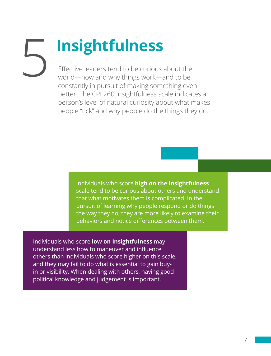### Effective leaders tend to be curious about the **Insightfulness**

world—how and why things work—and to be constantly in pursuit of making something even better. The CPI 260 Insightfulness scale indicates a person's level of natural curiosity about what makes people "tick" and why people do the things they do.

> Individuals who score **high on the Insightfulness** scale tend to be curious about others and understand that what motivates them is complicated. In the pursuit of learning why people respond or do things the way they do, they are more likely to examine their behaviors and notice differences between them.

Individuals who score **low on Insightfulness** may understand less how to maneuver and influence others than individuals who score higher on this scale, and they may fail to do what is essential to gain buyin or visibility. When dealing with others, having good political knowledge and judgement is important.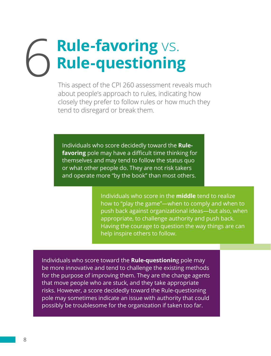# **Rule-favoring** vs. 6 **Rule-questioning**

This aspect of the CPI 260 assessment reveals much about people's approach to rules, indicating how closely they prefer to follow rules or how much they tend to disregard or break them.

Individuals who score decidedly toward the **Rulefavoring** pole may have a difficult time thinking for themselves and may tend to follow the status quo or what other people do. They are not risk takers and operate more "by the book" than most others.

> Individuals who score in the **middle** tend to realize how to "play the game"—when to comply and when to push back against organizational ideas—but also, when appropriate, to challenge authority and push back. Having the courage to question the way things are can help inspire others to follow.

Individuals who score toward the **Rule-questionin**g pole may be more innovative and tend to challenge the existing methods for the purpose of improving them. They are the change agents that move people who are stuck, and they take appropriate risks. However, a score decidedly toward the Rule-questioning pole may sometimes indicate an issue with authority that could possibly be troublesome for the organization if taken too far.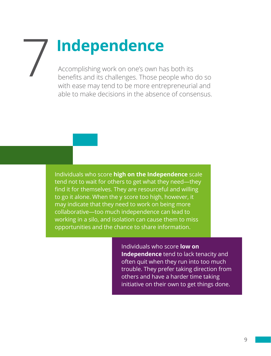## **Independence**

Accomplishing work on one's own has both its benefits and its challenges. Those people who do so with ease may tend to be more entrepreneurial and able to make decisions in the absence of consensus.

Individuals who score **high on the Independence** scale tend not to wait for others to get what they need—they find it for themselves. They are resourceful and willing to go it alone. When the y score too high, however, it may indicate that they need to work on being more collaborative—too much independence can lead to working in a silo, and isolation can cause them to miss opportunities and the chance to share information.

> Individuals who score **low on Independence** tend to lack tenacity and often quit when they run into too much trouble. They prefer taking direction from others and have a harder time taking initiative on their own to get things done.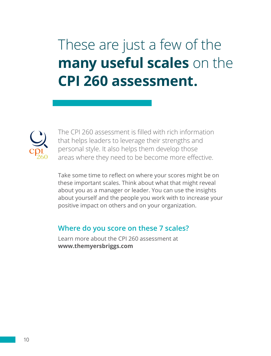These are just a few of the **many useful scales** on the **CPI 260 assessment.**



The CPI 260 assessment is filled with rich information that helps leaders to leverage their strengths and personal style. It also helps them develop those areas where they need to be become more effective.

Take some time to reflect on where your scores might be on these important scales. Think about what that might reveal about you as a manager or leader. You can use the insights about yourself and the people you work with to increase your positive impact on others and on your organization.

#### **Where do you score on these 7 scales?**

Learn more about the CPI 260 assessment at **www.themyersbriggs.com**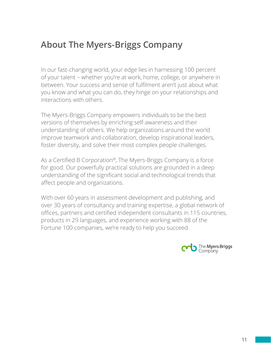#### **About The Myers-Briggs Company**

In our fast-changing world, your edge lies in harnessing 100 percent of your talent – whether you're at work, home, college, or anywhere in between. Your success and sense of fulfilment aren't just about what you know and what you can do, they hinge on your relationships and interactions with others.

The Myers-Briggs Company empowers individuals to be the best versions of themselves by enriching self-awareness and their understanding of others. We help organizations around the world improve teamwork and collaboration, develop inspirational leaders, foster diversity, and solve their most complex people challenges.

As a Certified B Corporation®, The Myers-Briggs Company is a force for good. Our powerfully practical solutions are grounded in a deep understanding of the significant social and technological trends that affect people and organizations.

With over 60 years in assessment development and publishing, and over 30 years of consultancy and training expertise, a global network of offices, partners and certified independent consultants in 115 countries, products in 29 languages, and experience working with 88 of the Fortune 100 companies, we're ready to help you succeed.